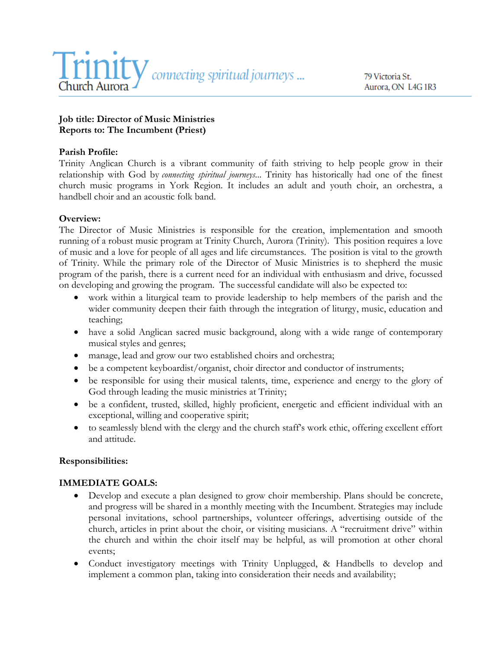

79 Victoria St. Aurora, ON L4G 1R3

#### **Job title: Director of Music Ministries Reports to: The Incumbent (Priest)**

#### **Parish Profile:**

Trinity Anglican Church is a vibrant community of faith striving to help people grow in their relationship with God by *connecting spiritual journeys*... Trinity has historically had one of the finest church music programs in York Region. It includes an adult and youth choir, an orchestra, a handbell choir and an acoustic folk band.

#### **Overview:**

The Director of Music Ministries is responsible for the creation, implementation and smooth running of a robust music program at Trinity Church, Aurora (Trinity). This position requires a love of music and a love for people of all ages and life circumstances. The position is vital to the growth of Trinity. While the primary role of the Director of Music Ministries is to shepherd the music program of the parish, there is a current need for an individual with enthusiasm and drive, focussed on developing and growing the program. The successful candidate will also be expected to:

- work within a liturgical team to provide leadership to help members of the parish and the wider community deepen their faith through the integration of liturgy, music, education and teaching;
- have a solid Anglican sacred music background, along with a wide range of contemporary musical styles and genres;
- manage, lead and grow our two established choirs and orchestra;
- be a competent keyboardist/organist, choir director and conductor of instruments;
- be responsible for using their musical talents, time, experience and energy to the glory of God through leading the music ministries at Trinity;
- be a confident, trusted, skilled, highly proficient, energetic and efficient individual with an exceptional, willing and cooperative spirit;
- to seamlessly blend with the clergy and the church staff's work ethic, offering excellent effort and attitude.

#### **Responsibilities:**

#### **IMMEDIATE GOALS:**

- Develop and execute a plan designed to grow choir membership. Plans should be concrete, and progress will be shared in a monthly meeting with the Incumbent. Strategies may include personal invitations, school partnerships, volunteer offerings, advertising outside of the church, articles in print about the choir, or visiting musicians. A "recruitment drive" within the church and within the choir itself may be helpful, as will promotion at other choral events;
- Conduct investigatory meetings with Trinity Unplugged, & Handbells to develop and implement a common plan, taking into consideration their needs and availability;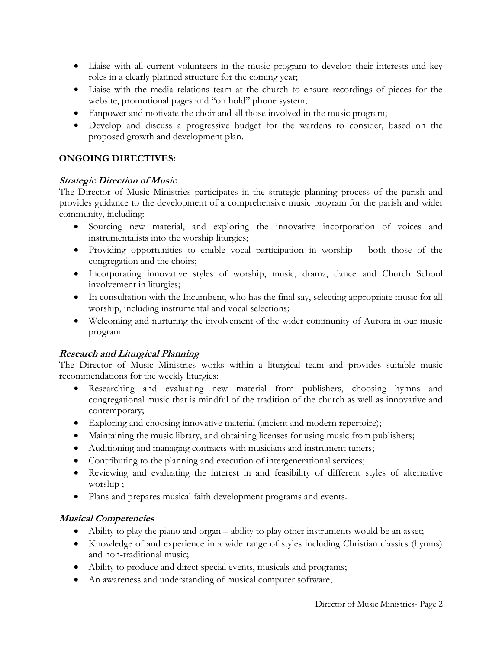- Liaise with all current volunteers in the music program to develop their interests and key roles in a clearly planned structure for the coming year;
- Liaise with the media relations team at the church to ensure recordings of pieces for the website, promotional pages and "on hold" phone system;
- Empower and motivate the choir and all those involved in the music program;
- Develop and discuss a progressive budget for the wardens to consider, based on the proposed growth and development plan.

### **ONGOING DIRECTIVES:**

#### **Strategic Direction of Music**

The Director of Music Ministries participates in the strategic planning process of the parish and provides guidance to the development of a comprehensive music program for the parish and wider community, including:

- Sourcing new material, and exploring the innovative incorporation of voices and instrumentalists into the worship liturgies;
- Providing opportunities to enable vocal participation in worship both those of the congregation and the choirs;
- Incorporating innovative styles of worship, music, drama, dance and Church School involvement in liturgies;
- In consultation with the Incumbent, who has the final say, selecting appropriate music for all worship, including instrumental and vocal selections;
- Welcoming and nurturing the involvement of the wider community of Aurora in our music program.

### **Research and Liturgical Planning**

The Director of Music Ministries works within a liturgical team and provides suitable music recommendations for the weekly liturgies:

- Researching and evaluating new material from publishers, choosing hymns and congregational music that is mindful of the tradition of the church as well as innovative and contemporary;
- Exploring and choosing innovative material (ancient and modern repertoire);
- Maintaining the music library, and obtaining licenses for using music from publishers;
- Auditioning and managing contracts with musicians and instrument tuners;
- Contributing to the planning and execution of intergenerational services;
- Reviewing and evaluating the interest in and feasibility of different styles of alternative worship ;
- Plans and prepares musical faith development programs and events.

### **Musical Competencies**

- Ability to play the piano and organ ability to play other instruments would be an asset;
- Knowledge of and experience in a wide range of styles including Christian classics (hymns) and non-traditional music;
- Ability to produce and direct special events, musicals and programs;
- An awareness and understanding of musical computer software;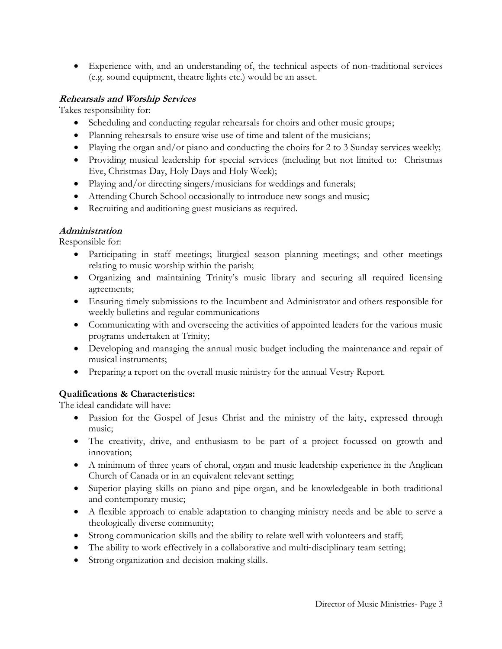• Experience with, and an understanding of, the technical aspects of non-traditional services (e.g. sound equipment, theatre lights etc.) would be an asset.

### **Rehearsals and Worship Services**

Takes responsibility for:

- Scheduling and conducting regular rehearsals for choirs and other music groups;
- Planning rehearsals to ensure wise use of time and talent of the musicians;
- Playing the organ and/or piano and conducting the choirs for 2 to 3 Sunday services weekly;
- Providing musical leadership for special services (including but not limited to: Christmas Eve, Christmas Day, Holy Days and Holy Week);
- Playing and/or directing singers/musicians for weddings and funerals;
- Attending Church School occasionally to introduce new songs and music;
- Recruiting and auditioning guest musicians as required.

# **Administration**

Responsible for:

- Participating in staff meetings; liturgical season planning meetings; and other meetings relating to music worship within the parish;
- Organizing and maintaining Trinity's music library and securing all required licensing agreements;
- Ensuring timely submissions to the Incumbent and Administrator and others responsible for weekly bulletins and regular communications
- Communicating with and overseeing the activities of appointed leaders for the various music programs undertaken at Trinity;
- Developing and managing the annual music budget including the maintenance and repair of musical instruments;
- Preparing a report on the overall music ministry for the annual Vestry Report.

# **Qualifications & Characteristics:**

The ideal candidate will have:

- Passion for the Gospel of Jesus Christ and the ministry of the laity, expressed through music;
- The creativity, drive, and enthusiasm to be part of a project focussed on growth and innovation;
- A minimum of three years of choral, organ and music leadership experience in the Anglican Church of Canada or in an equivalent relevant setting;
- Superior playing skills on piano and pipe organ, and be knowledgeable in both traditional and contemporary music;
- A flexible approach to enable adaptation to changing ministry needs and be able to serve a theologically diverse community;
- Strong communication skills and the ability to relate well with volunteers and staff;
- The ability to work effectively in a collaborative and multi-disciplinary team setting;
- Strong organization and decision-making skills.